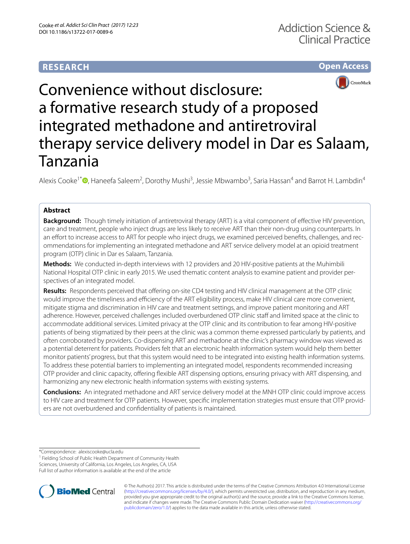## **RESEARCH**





# Convenience without disclosure: a formative research study of a proposed integrated methadone and antiretroviral therapy service delivery model in Dar es Salaam, Tanzania

Alexis Cooke<sup>1[\\*](http://orcid.org/0000-0002-7053-1208)</sup><sup>®</sup>, Haneefa Saleem<sup>2</sup>, Dorothy Mushi<sup>3</sup>, Jessie Mbwambo<sup>3</sup>, Saria Hassan<sup>4</sup> and Barrot H. Lambdin<sup>4</sup>

## **Abstract**

**Background:** Though timely initiation of antiretroviral therapy (ART) is a vital component of effective HIV prevention, care and treatment, people who inject drugs are less likely to receive ART than their non-drug using counterparts. In an effort to increase access to ART for people who inject drugs, we examined perceived benefits, challenges, and recommendations for implementing an integrated methadone and ART service delivery model at an opioid treatment program (OTP) clinic in Dar es Salaam, Tanzania.

**Methods:** We conducted in-depth interviews with 12 providers and 20 HIV-positive patients at the Muhimbili National Hospital OTP clinic in early 2015. We used thematic content analysis to examine patient and provider perspectives of an integrated model.

**Results:** Respondents perceived that offering on-site CD4 testing and HIV clinical management at the OTP clinic would improve the timeliness and efficiency of the ART eligibility process, make HIV clinical care more convenient, mitigate stigma and discrimination in HIV care and treatment settings, and improve patient monitoring and ART adherence. However, perceived challenges included overburdened OTP clinic staf and limited space at the clinic to accommodate additional services. Limited privacy at the OTP clinic and its contribution to fear among HIV-positive patients of being stigmatized by their peers at the clinic was a common theme expressed particularly by patients, and often corroborated by providers. Co-dispensing ART and methadone at the clinic's pharmacy window was viewed as a potential deterrent for patients. Providers felt that an electronic health information system would help them better monitor patients' progress, but that this system would need to be integrated into existing health information systems. To address these potential barriers to implementing an integrated model, respondents recommended increasing OTP provider and clinic capacity, ofering fexible ART dispensing options, ensuring privacy with ART dispensing, and harmonizing any new electronic health information systems with existing systems.

**Conclusions:** An integrated methadone and ART service delivery model at the MNH OTP clinic could improve access to HIV care and treatment for OTP patients. However, specifc implementation strategies must ensure that OTP providers are not overburdened and confdentiality of patients is maintained.

\*Correspondence: alexiscooke@ucla.edu

<sup>1</sup> Fielding School of Public Health Department of Community Health Sciences, University of California, Los Angeles, Los Angeles, CA, USA Full list of author information is available at the end of the article



© The Author(s) 2017. This article is distributed under the terms of the Creative Commons Attribution 4.0 International License [\(http://creativecommons.org/licenses/by/4.0/\)](http://creativecommons.org/licenses/by/4.0/), which permits unrestricted use, distribution, and reproduction in any medium, provided you give appropriate credit to the original author(s) and the source, provide a link to the Creative Commons license, and indicate if changes were made. The Creative Commons Public Domain Dedication waiver ([http://creativecommons.org/](http://creativecommons.org/publicdomain/zero/1.0/) [publicdomain/zero/1.0/](http://creativecommons.org/publicdomain/zero/1.0/)) applies to the data made available in this article, unless otherwise stated.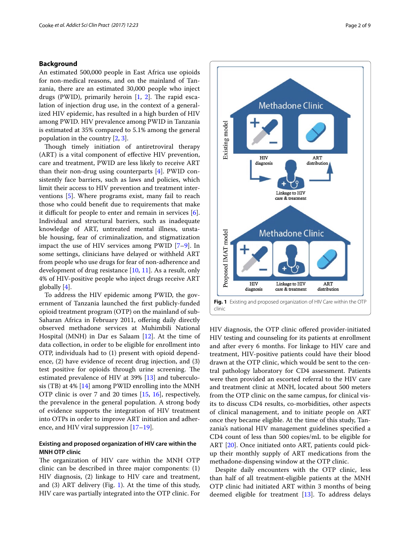## **Background**

An estimated 500,000 people in East Africa use opioids for non-medical reasons, and on the mainland of Tanzania, there are an estimated 30,000 people who inject drugs (PWID), primarily heroin  $[1, 2]$  $[1, 2]$  $[1, 2]$  $[1, 2]$  $[1, 2]$ . The rapid escalation of injection drug use, in the context of a generalized HIV epidemic, has resulted in a high burden of HIV among PWID. HIV prevalence among PWID in Tanzania is estimated at 35% compared to 5.1% among the general population in the country [[2,](#page-7-1) [3](#page-7-2)].

Though timely initiation of antiretroviral therapy (ART) is a vital component of efective HIV prevention, care and treatment, PWID are less likely to receive ART than their non-drug using counterparts [\[4](#page-7-3)]. PWID consistently face barriers, such as laws and policies, which limit their access to HIV prevention and treatment interventions [\[5](#page-7-4)]. Where programs exist, many fail to reach those who could beneft due to requirements that make it difficult for people to enter and remain in services [\[6](#page-7-5)]. Individual and structural barriers, such as inadequate knowledge of ART, untreated mental illness, unstable housing, fear of criminalization, and stigmatization impact the use of HIV services among PWID [[7–](#page-7-6)[9\]](#page-7-7). In some settings, clinicians have delayed or withheld ART from people who use drugs for fear of non-adherence and development of drug resistance [\[10](#page-7-8), [11\]](#page-7-9). As a result, only 4% of HIV-positive people who inject drugs receive ART globally [[4\]](#page-7-3).

To address the HIV epidemic among PWID, the government of Tanzania launched the frst publicly-funded opioid treatment program (OTP) on the mainland of sub-Saharan Africa in February 2011, offering daily directly observed methadone services at Muhimbili National Hospital (MNH) in Dar es Salaam [[12\]](#page-7-10). At the time of data collection, in order to be eligible for enrollment into OTP, individuals had to (1) present with opioid dependence, (2) have evidence of recent drug injection, and (3) test positive for opioids through urine screening. The estimated prevalence of HIV at 39% [[13\]](#page-7-11) and tuberculosis (TB) at 4% [\[14](#page-7-12)] among PWID enrolling into the MNH OTP clinic is over 7 and 20 times [\[15](#page-8-0), [16\]](#page-8-1), respectively, the prevalence in the general population. A strong body of evidence supports the integration of HIV treatment into OTPs in order to improve ART initiation and adherence, and HIV viral suppression [\[17](#page-8-2)–[19\]](#page-8-3).

## **Existing and proposed organization of HIV care within the MNH OTP clinic**

The organization of HIV care within the MNH OTP clinic can be described in three major components: (1) HIV diagnosis, (2) linkage to HIV care and treatment, and (3) ART delivery (Fig. [1](#page-1-0)). At the time of this study, HIV care was partially integrated into the OTP clinic. For



<span id="page-1-0"></span>HIV diagnosis, the OTP clinic ofered provider-initiated HIV testing and counseling for its patients at enrollment and after every 6 months. For linkage to HIV care and treatment, HIV-positive patients could have their blood drawn at the OTP clinic, which would be sent to the central pathology laboratory for CD4 assessment. Patients were then provided an escorted referral to the HIV care and treatment clinic at MNH, located about 500 meters from the OTP clinic on the same campus, for clinical visits to discuss CD4 results, co-morbidities, other aspects of clinical management, and to initiate people on ART once they became eligible. At the time of this study, Tanzania's national HIV management guidelines specifed a CD4 count of less than 500 copies/mL to be eligible for ART [\[20](#page-8-4)]. Once initiated onto ART, patients could pickup their monthly supply of ART medications from the methadone-dispensing window at the OTP clinic.

Despite daily encounters with the OTP clinic, less than half of all treatment-eligible patients at the MNH OTP clinic had initiated ART within 3 months of being deemed eligible for treatment  $[13]$  $[13]$ . To address delays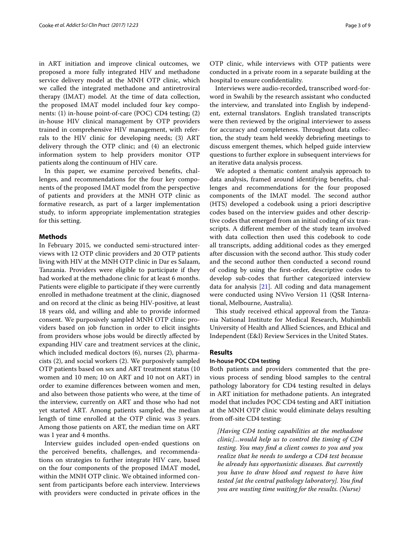in ART initiation and improve clinical outcomes, we proposed a more fully integrated HIV and methadone service delivery model at the MNH OTP clinic, which we called the integrated methadone and antiretroviral therapy (IMAT) model. At the time of data collection, the proposed IMAT model included four key components: (1) in-house point-of-care (POC) CD4 testing; (2) in-house HIV clinical management by OTP providers trained in comprehensive HIV management, with referrals to the HIV clinic for developing needs; (3) ART delivery through the OTP clinic; and (4) an electronic information system to help providers monitor OTP patients along the continuum of HIV care.

In this paper, we examine perceived benefts, challenges, and recommendations for the four key components of the proposed IMAT model from the perspective of patients and providers at the MNH OTP clinic as formative research, as part of a larger implementation study, to inform appropriate implementation strategies for this setting.

## **Methods**

In February 2015, we conducted semi-structured interviews with 12 OTP clinic providers and 20 OTP patients living with HIV at the MNH OTP clinic in Dar es Salaam, Tanzania. Providers were eligible to participate if they had worked at the methadone clinic for at least 6 months. Patients were eligible to participate if they were currently enrolled in methadone treatment at the clinic, diagnosed and on record at the clinic as being HIV-positive, at least 18 years old, and willing and able to provide informed consent. We purposively sampled MNH OTP clinic providers based on job function in order to elicit insights from providers whose jobs would be directly afected by expanding HIV care and treatment services at the clinic, which included medical doctors (6), nurses (2), pharmacists (2), and social workers (2). We purposively sampled OTP patients based on sex and ART treatment status (10 women and 10 men; 10 on ART and 10 not on ART) in order to examine diferences between women and men, and also between those patients who were, at the time of the interview, currently on ART and those who had not yet started ART. Among patients sampled, the median length of time enrolled at the OTP clinic was 3 years. Among those patients on ART, the median time on ART was 1 year and 4 months.

Interview guides included open-ended questions on the perceived benefts, challenges, and recommendations on strategies to further integrate HIV care, based on the four components of the proposed IMAT model, within the MNH OTP clinic. We obtained informed consent from participants before each interview. Interviews with providers were conducted in private offices in the

OTP clinic, while interviews with OTP patients were conducted in a private room in a separate building at the hospital to ensure confdentiality.

Interviews were audio-recorded, transcribed word-forword in Swahili by the research assistant who conducted the interview, and translated into English by independent, external translators. English translated transcripts were then reviewed by the original interviewer to assess for accuracy and completeness. Throughout data collection, the study team held weekly debriefng meetings to discuss emergent themes, which helped guide interview questions to further explore in subsequent interviews for an iterative data analysis process.

We adopted a thematic content analysis approach to data analysis, framed around identifying benefts, challenges and recommendations for the four proposed components of the IMAT model. The second author (HTS) developed a codebook using a priori descriptive codes based on the interview guides and other descriptive codes that emerged from an initial coding of six transcripts. A diferent member of the study team involved with data collection then used this codebook to code all transcripts, adding additional codes as they emerged after discussion with the second author. This study coder and the second author then conducted a second round of coding by using the frst-order, descriptive codes to develop sub-codes that further categorized interview data for analysis [[21\]](#page-8-5). All coding and data management were conducted using NVivo Version 11 (QSR International, Melbourne, Australia).

This study received ethical approval from the Tanzania National Institute for Medical Research, Muhimbili University of Health and Allied Sciences, and Ethical and Independent (E&I) Review Services in the United States.

## **Results**

#### **In‑house POC CD4 testing**

Both patients and providers commented that the previous process of sending blood samples to the central pathology laboratory for CD4 testing resulted in delays in ART initiation for methadone patients. An integrated model that includes POC CD4 testing and ART initiation at the MNH OTP clinic would eliminate delays resulting from off-site CD4 testing:

*[Having CD4 testing capabilities at the methadone clinic]…would help us to control the timing of CD4 testing. You may fnd a client comes to you and you realize that he needs to undergo a CD4 test because he already has opportunistic diseases. But currently you have to draw blood and request to have him tested [at the central pathology laboratory]. You fnd you are wasting time waiting for the results. (Nurse)*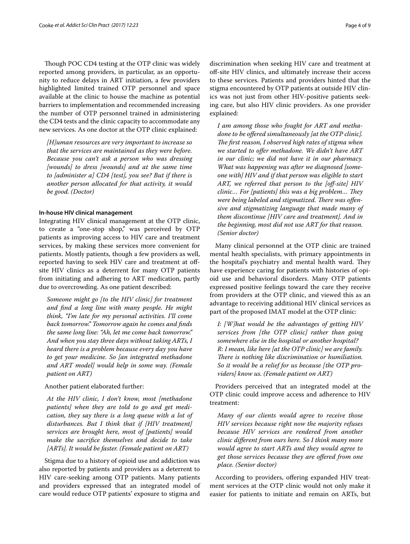Though POC CD4 testing at the OTP clinic was widely reported among providers, in particular, as an opportunity to reduce delays in ART initiation, a few providers highlighted limited trained OTP personnel and space available at the clinic to house the machine as potential barriers to implementation and recommended increasing the number of OTP personnel trained in administering the CD4 tests and the clinic capacity to accommodate any new services. As one doctor at the OTP clinic explained:

*[H]uman resources are very important to increase so that the services are maintained as they were before. Because you can't ask a person who was dressing [wounds] to dress [wounds] and at the same time to [administer a] CD4 [test], you see? But if there is another person allocated for that activity, it would be good. (Doctor)*

#### **In‑house HIV clinical management**

Integrating HIV clinical management at the OTP clinic, to create a "one-stop shop," was perceived by OTP patients as improving access to HIV care and treatment services, by making these services more convenient for patients. Mostly patients, though a few providers as well, reported having to seek HIV care and treatment at offsite HIV clinics as a deterrent for many OTP patients from initiating and adhering to ART medication, partly due to overcrowding. As one patient described:

*Someone might go [to the HIV clinic] for treatment and fnd a long line with many people. He might think, "I'm late for my personal activities. I'll come back tomorrow." Tomorrow again he comes and fnds the same long line: "Ah, let me come back tomorrow." And when you stay three days without taking ARTs, I heard there is a problem because every day you have to get your medicine. So [an integrated methadone and ART model] would help in some way. (Female patient on ART)*

### Another patient elaborated further:

*At the HIV clinic, I don't know, most [methadone patients] when they are told to go and get medication, they say there is a long queue with a lot of disturbances. But I think that if [HIV treatment] services are brought here, most of [patients] would make the sacrifce themselves and decide to take [ARTs]. It would be faster. (Female patient on ART)*

Stigma due to a history of opioid use and addiction was also reported by patients and providers as a deterrent to HIV care-seeking among OTP patients. Many patients and providers expressed that an integrated model of care would reduce OTP patients' exposure to stigma and discrimination when seeking HIV care and treatment at off-site HIV clinics, and ultimately increase their access to these services. Patients and providers hinted that the stigma encountered by OTP patients at outside HIV clinics was not just from other HIV-positive patients seeking care, but also HIV clinic providers. As one provider explained:

*I am among those who fought for ART and methadone to be ofered simultaneously [at the OTP clinic].*  The first reason, I observed high rates of stigma when *we started to ofer methadone. We didn't have ART in our clinic; we did not have it in our pharmacy. What was happening was after we diagnosed [someone with] HIV and if that person was eligible to start ART, we referred that person to the [of-site] HIV clinic... For [patients] this was a big problem... They* were being labeled and stigmatized. There was offen*sive and stigmatizing language that made many of them discontinue [HIV care and treatment]. And in the beginning, most did not use ART for that reason. (Senior doctor)*

Many clinical personnel at the OTP clinic are trained mental health specialists, with primary appointments in the hospital's psychiatry and mental health ward. They have experience caring for patients with histories of opioid use and behavioral disorders. Many OTP patients expressed positive feelings toward the care they receive from providers at the OTP clinic, and viewed this as an advantage to receiving additional HIV clinical services as part of the proposed IMAT model at the OTP clinic:

*I: [W]hat would be the advantages of getting HIV services from [the OTP clinic] rather than going somewhere else in the hospital or another hospital? R: I mean, like here [at the OTP clinic] we are family. There is nothing like discrimination or humiliation. So it would be a relief for us because [the OTP providers] know us. (Female patient on ART)*

Providers perceived that an integrated model at the OTP clinic could improve access and adherence to HIV treatment:

*Many of our clients would agree to receive those HIV services because right now the majority refuses because HIV services are rendered from another clinic diferent from ours here. So I think many more would agree to start ARTs and they would agree to get those services because they are ofered from one place. (Senior doctor)*

According to providers, offering expanded HIV treatment services at the OTP clinic would not only make it easier for patients to initiate and remain on ARTs, but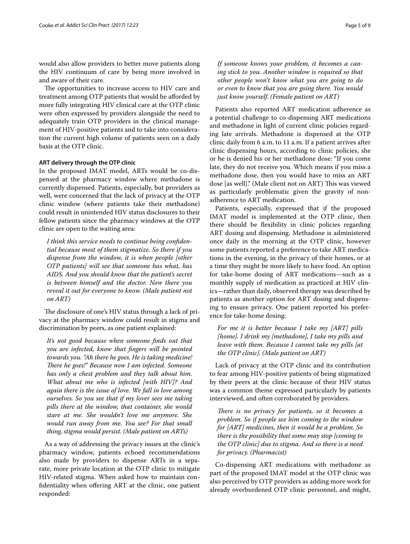would also allow providers to better move patients along the HIV continuum of care by being more involved in and aware of their care.

The opportunities to increase access to HIV care and treatment among OTP patients that would be aforded by more fully integrating HIV clinical care at the OTP clinic were often expressed by providers alongside the need to adequately train OTP providers in the clinical management of HIV-positive patients and to take into consideration the current high volume of patients seen on a daily basis at the OTP clinic.

#### **ART delivery through the OTP clinic**

In the proposed IMAT model, ARTs would be co-dispensed at the pharmacy window where methadone is currently dispensed. Patients, especially, but providers as well, were concerned that the lack of privacy at the OTP clinic window (where patients take their methadone) could result in unintended HIV status disclosures to their fellow patients since the pharmacy windows at the OTP clinic are open to the waiting area:

*I think this service needs to continue being confdential because most of them stigmatize. So there if you dispense from the window, it is when people [other OTP patients] will see that someone has what, has AIDS. And you should know that the patient's secret is between himself and the doctor. Now there you reveal it out for everyone to know. (Male patient not on ART)*

The disclosure of one's HIV status through a lack of privacy at the pharmacy window could result in stigma and discrimination by peers, as one patient explained:

*It's not good because when someone fnds out that you are infected, know that fngers will be pointed towards you. "Ah there he goes. He is taking medicine! There he goes!" Because now I am infected. Someone has only a chest problem and they talk about him. What about me who is infected [with HIV]? And again there is the issue of love. We fall in love among ourselves. So you see that if my lover sees me taking pills there at the window, that container, she would stare at me. She wouldn't love me anymore. She would run away from me. You see? For that small thing, stigma would persist. (Male patient on ARTs)*

As a way of addressing the privacy issues at the clinic's pharmacy window, patients echoed recommendations also made by providers to dispense ARTs in a separate, more private location at the OTP clinic to mitigate HIV-related stigma. When asked how to maintain confidentiality when offering ART at the clinic, one patient responded:

*If someone knows your problem, it becomes a caning stick to you. Another window is required so that other people won't know what you are going to do or even to know that you are going there. You would just know yourself. (Female patient on ART)*

Patients also reported ART medication adherence as a potential challenge to co-dispensing ART medications and methadone in light of current clinic policies regarding late arrivals. Methadone is dispensed at the OTP clinic daily from 6 a.m. to 11 a.m. If a patient arrives after clinic dispensing hours, according to clinic policies, she or he is denied his or her methadone dose: "If you come late, they do not receive you. Which means if you miss a methadone dose, then you would have to miss an ART dose [as well]." (Male client not on ART) This was viewed as particularly problematic given the gravity of nonadherence to ART medication.

Patients, especially, expressed that if the proposed IMAT model is implemented at the OTP clinic, then there should be fexibility in clinic policies regarding ART dosing and dispensing. Methadone is administered once daily in the morning at the OTP clinic, however some patients reported a preference to take ART medications in the evening, in the privacy of their homes, or at a time they might be more likely to have food. An option for take-home dosing of ART medications—such as a monthly supply of medication as practiced at HIV clinics—rather than daily, observed therapy was described by patients as another option for ART dosing and dispensing to ensure privacy. One patient reported his preference for take-home dosing:

*For me it is better because I take my [ART] pills [home]. I drink my [methadone], I take my pills and leave with them. Because I cannot take my pills [at the OTP clinic]. (Male patient on ART)*

Lack of privacy at the OTP clinic and its contribution to fear among HIV-positive patients of being stigmatized by their peers at the clinic because of their HIV status was a common theme expressed particularly by patients interviewed, and often corroborated by providers.

*There is no privacy for patients, so it becomes a problem. So if people see him coming to the window for [ART] medicines, then it would be a problem. So there is the possibility that some may stop [coming to the OTP clinic] due to stigma. And so there is a need for privacy. (Pharmacist)*

Co-dispensing ART medications with methadone as part of the proposed IMAT model at the OTP clinic was also perceived by OTP providers as adding more work for already overburdened OTP clinic personnel, and might,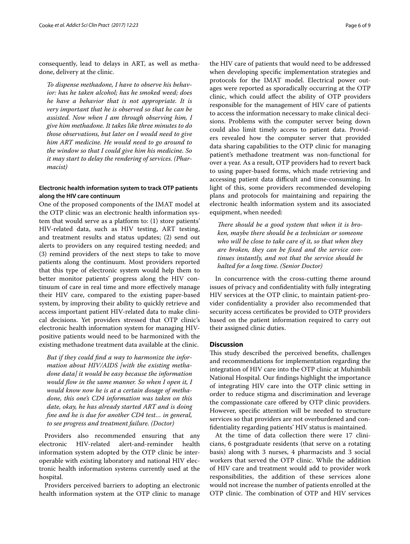consequently, lead to delays in ART, as well as methadone, delivery at the clinic.

*To dispense methadone, I have to observe his behavior: has he taken alcohol; has he smoked weed; does he have a behavior that is not appropriate. It is very important that he is observed so that he can be assisted. Now when I am through observing him, I give him methadone. It takes like three minutes to do those observations, but later on I would need to give him ART medicine. He would need to go around to the window so that I could give him his medicine. So it may start to delay the rendering of services. (Pharmacist)*

## **Electronic health information system to track OTP patients along the HIV care continuum**

One of the proposed components of the IMAT model at the OTP clinic was an electronic health information system that would serve as a platform to: (1) store patients' HIV-related data, such as HIV testing, ART testing, and treatment results and status updates; (2) send out alerts to providers on any required testing needed; and (3) remind providers of the next steps to take to move patients along the continuum. Most providers reported that this type of electronic system would help them to better monitor patients' progress along the HIV continuum of care in real time and more efectively manage their HIV care, compared to the existing paper-based system, by improving their ability to quickly retrieve and access important patient HIV-related data to make clinical decisions. Yet providers stressed that OTP clinic's electronic health information system for managing HIVpositive patients would need to be harmonized with the existing methadone treatment data available at the clinic.

*But if they could fnd a way to harmonize the information about HIV/AIDS [with the existing methadone data] it would be easy because the information would fow in the same manner. So when I open it, I would know now he is at a certain dosage of methadone, this one's CD4 information was taken on this date, okay, he has already started ART and is doing fne and he is due for another CD4 test… in general, to see progress and treatment failure. (Doctor)*

Providers also recommended ensuring that any electronic HIV-related alert-and-reminder health information system adopted by the OTP clinic be interoperable with existing laboratory and national HIV electronic health information systems currently used at the hospital.

Providers perceived barriers to adopting an electronic health information system at the OTP clinic to manage the HIV care of patients that would need to be addressed when developing specifc implementation strategies and protocols for the IMAT model. Electrical power outages were reported as sporadically occurring at the OTP clinic, which could afect the ability of OTP providers responsible for the management of HIV care of patients to access the information necessary to make clinical decisions. Problems with the computer server being down could also limit timely access to patient data. Providers revealed how the computer server that provided data sharing capabilities to the OTP clinic for managing patient's methadone treatment was non-functional for over a year. As a result, OTP providers had to revert back to using paper-based forms, which made retrieving and accessing patient data difficult and time-consuming. In light of this, some providers recommended developing plans and protocols for maintaining and repairing the electronic health information system and its associated equipment, when needed:

There should be a good system that when it is bro*ken, maybe there should be a technician or someone who will be close to take care of it, so that when they are broken, they can be fxed and the service continues instantly, and not that the service should be halted for a long time. (Senior Doctor)*

In concurrence with the cross-cutting theme around issues of privacy and confdentiality with fully integrating HIV services at the OTP clinic, to maintain patient-provider confdentiality a provider also recommended that security access certifcates be provided to OTP providers based on the patient information required to carry out their assigned clinic duties.

## **Discussion**

This study described the perceived benefits, challenges and recommendations for implementation regarding the integration of HIV care into the OTP clinic at Muhimbili National Hospital. Our fndings highlight the importance of integrating HIV care into the OTP clinic setting in order to reduce stigma and discrimination and leverage the compassionate care ofered by OTP clinic providers. However, specifc attention will be needed to structure services so that providers are not overburdened and confdentiality regarding patients' HIV status is maintained.

At the time of data collection there were 17 clinicians, 6 postgraduate residents (that serve on a rotating basis) along with 3 nurses, 4 pharmacists and 3 social workers that served the OTP clinic. While the addition of HIV care and treatment would add to provider work responsibilities, the addition of these services alone would not increase the number of patients enrolled at the OTP clinic. The combination of OTP and HIV services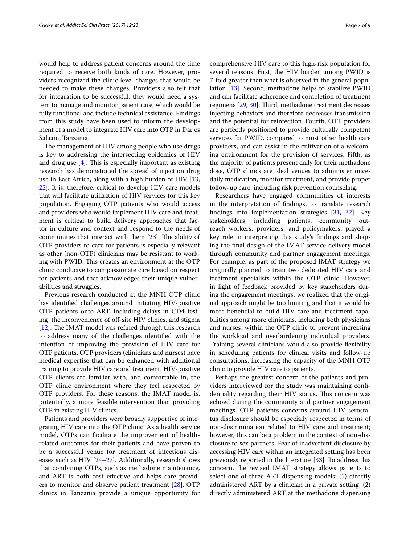would help to address patient concerns around the time required to receive both kinds of care. However, providers recognized the clinic level changes that would be needed to make these changes. Providers also felt that for integration to be successful, they would need a system to manage and monitor patient care, which would be fully functional and include technical assistance. Findings from this study have been used to inform the development of a model to integrate HIV care into OTP in Dar es Salaam, Tanzania.

The management of HIV among people who use drugs is key to addressing the intersecting epidemics of HIV and drug use  $[4]$ . This is especially important as existing research has demonstrated the spread of injection drug use in East Africa, along with a high burden of HIV [\[13](#page-7-11), [22\]](#page-8-6). It is, therefore, critical to develop HIV care models that will facilitate utilization of HIV services for this key population. Engaging OTP patients who would access and providers who would implement HIV care and treatment is critical to build delivery approaches that factor in culture and context and respond to the needs of communities that interact with them  $[23]$  $[23]$ . The ability of OTP providers to care for patients is especially relevant as other (non-OTP) clinicians may be resistant to working with PWID. This creates an environment at the OTP clinic conducive to compassionate care based on respect for patients and that acknowledges their unique vulnerabilities and struggles.

Previous research conducted at the MNH OTP clinic has identifed challenges around initiating HIV-positive OTP patients onto ART, including delays in CD4 testing, the inconvenience of off-site HIV clinics, and stigma [[12\]](#page-7-10). The IMAT model was refined through this research to address many of the challenges identifed with the intention of improving the provision of HIV care for OTP patients. OTP providers (clinicians and nurses) have medical expertise that can be enhanced with additional training to provide HIV care and treatment. HIV-positive OTP clients are familiar with, and comfortable in, the OTP clinic environment where they feel respected by OTP providers. For these reasons, the IMAT model is, potentially, a more feasible intervention than providing OTP in existing HIV clinics.

Patients and providers were broadly supportive of integrating HIV care into the OTP clinic. As a health service model, OTPs can facilitate the improvement of healthrelated outcomes for their patients and have proven to be a successful venue for treatment of infectious diseases such as HIV  $[24-27]$  $[24-27]$ . Additionally, research shows that combining OTPs, such as methadone maintenance, and ART is both cost efective and helps care providers to monitor and observe patient treatment [\[28](#page-8-10)]. OTP clinics in Tanzania provide a unique opportunity for comprehensive HIV care to this high-risk population for several reasons. First, the HIV burden among PWID is 7-fold greater than what is observed in the general population [[13\]](#page-7-11). Second, methadone helps to stabilize PWID and can facilitate adherence and completion of treatment regimens [\[29,](#page-8-11) [30](#page-8-12)]. Third, methadone treatment decreases injecting behaviors and therefore decreases transmission and the potential for reinfection. Fourth, OTP providers are perfectly positioned to provide culturally competent services for PWID, compared to most other health care providers, and can assist in the cultivation of a welcoming environment for the provision of services. Fifth, as the majority of patients present daily for their methadone dose, OTP clinics are ideal venues to administer oncedaily medication, monitor treatment, and provide proper follow-up care, including risk prevention counseling.

Researchers have engaged communities of interests in the interpretation of fndings, to translate research fndings into implementation strategies [\[31,](#page-8-13) [32\]](#page-8-14). Key stakeholders, including patients, community outreach workers, providers, and policymakers, played a key role in interpreting this study's fndings and shaping the fnal design of the IMAT service delivery model through community and partner engagement meetings. For example, as part of the proposed IMAT strategy we originally planned to train two dedicated HIV care and treatment specialists within the OTP clinic. However, in light of feedback provided by key stakeholders during the engagement meetings, we realized that the original approach might be too limiting and that it would be more benefcial to build HIV care and treatment capabilities among more clinicians, including both physicians and nurses, within the OTP clinic to prevent increasing the workload and overburdening individual providers. Training several clinicians would also provide fexibility in scheduling patients for clinical visits and follow-up consultations, increasing the capacity of the MNH OTP clinic to provide HIV care to patients.

Perhaps the greatest concern of the patients and providers interviewed for the study was maintaining confdentiality regarding their HIV status. This concern was echoed during the community and partner engagement meetings. OTP patients concerns around HIV serostatus disclosure should be especially respected in terms of non-discrimination related to HIV care and treatment; however, this can be a problem in the context of non-disclosure to sex partners. Fear of inadvertent disclosure by accessing HIV care within an integrated setting has been previously reported in the literature [\[33](#page-8-15)]. To address this concern, the revised IMAT strategy allows patients to select one of three ART dispensing models: (1) directly administered ART by a clinician in a private setting, (2) directly administered ART at the methadone dispensing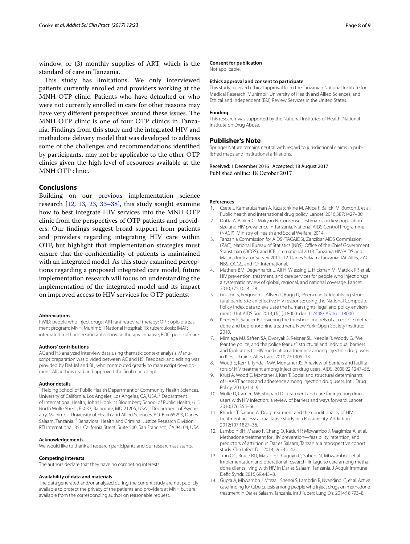window, or (3) monthly supplies of ART, which is the standard of care in Tanzania.

This study has limitations. We only interviewed patients currently enrolled and providers working at the MNH OTP clinic. Patients who have defaulted or who were not currently enrolled in care for other reasons may have very different perspectives around these issues. The MNH OTP clinic is one of four OTP clinics in Tanzania. Findings from this study and the integrated HIV and methadone delivery model that was developed to address some of the challenges and recommendations identifed by participants, may not be applicable to the other OTP clinics given the high-level of resources available at the MNH OTP clinic.

## **Conclusions**

Building on our previous implementation science research [\[12,](#page-7-10) [13,](#page-7-11) [23,](#page-8-7) [33](#page-8-15)[–38](#page-8-16)], this study sought examine how to best integrate HIV services into the MNH OTP clinic from the perspectives of OTP patients and providers. Our fndings suggest broad support from patients and providers regarding integrating HIV care within OTP, but highlight that implementation strategies must ensure that the confdentiality of patients is maintained with an integrated model. As this study examined perceptions regarding a proposed integrated care model, future implementation research will focus on understanding the implementation of the integrated model and its impact on improved access to HIV services for OTP patients.

#### **Abbreviations**

PWID: people who inject drugs; ART: antiretroviral therapy; OPT: opioid treatment program; MNH: Muhimbili National Hospital; TB: tuberculosis; IMAT: integrated methadone and anti-retroviral therapy initiative; POC: point-of-care.

#### **Authors' contributions**

AC and HS analyzed interview data using thematic context analysis. Manuscript preparation was divided between AC and HS. Feedback and editing was provided by DM JM and BL, who contributed greatly to manuscript development. All authors read and approved the fnal manuscript.

#### **Author details**

<sup>1</sup> Fielding School of Public Health Department of Community Health Sciences, University of California, Los Angeles, Los Angeles, CA, USA. <sup>2</sup> Department of International Health, Johns Hopkins Bloomberg School of Public Health, 615 North Wolfe Street, E5033, Baltimore, MD 21205, USA. 3 Department of Psychiatry, Muhimbili University of Health and Allied Sciences, P.O. Box 65293, Dar es Salaam, Tanzania. 4 Behavioral Health and Criminal Justice Research Division, RTI International, 351 California Street, Suite 500, San Francisco, CA 94104, USA.

#### **Acknowledgements**

We would like to thank all research participants and our research assistants.

#### **Competing interests**

The authors declare that they have no competing interests.

#### **Availability of data and materials**

The data generated and/or analyzed during the current study are not publicly available to protect the privacy of the patients and providers at MNH but are available from the corresponding author on reasonable request.

#### **Consent for publication**

Not applicable.

#### **Ethics approval and consent to participate**

This study received ethical approval from the Tanzanian National Institute for Medical Research, Muhimbili University of Health and Allied Sciences, and Ethical and Independent (E&I) Review Services in the United States.

#### **Funding**

This research was supported by the National Institutes of Health, National Institute on Drug Abuse.

#### **Publisher's Note**

Springer Nature remains neutral with regard to jurisdictional claims in published maps and institutional affiliations.

Received: 1 December 2016 Accepted: 18 August 2017 Published online: 18 October 2017

#### **References**

- <span id="page-7-0"></span>Csete J, Kamarulzaman A, Kazatchkine M, Altice F, Balicki M, Buxton J, et al. Public health and international drug policy. Lancet. 2016;387:1427–80.
- <span id="page-7-1"></span>2. Dutta A, Barker C, Makyao N. Consensus estimates on key population size and HIV prevalence in Tanzania. National AIDS Control Programme (NACP), Ministry of Health and Social Welfare; 2014.
- <span id="page-7-2"></span>3. Tanzania Commission for AIDS (TACAIDS), Zanzibar AIDS Commission (ZAC), National Bureau of Statistics (NBS), Office of the Chief Government Statistician (OCGS), and ICF International 2013. Tanzania HIV/AIDS and Malaria Indicator Survey 2011–12. Dar es Salaam, Tanzania: TACAIDS, ZAC, NBS, OCGS, and ICF International.
- <span id="page-7-3"></span>Mathers BM, Degenhardt L, Ali H, Wiessing L, Hickman M, Mattick RP, et al. HIV prevention, treatment, and care services for people who inject drugs: a systematic review of global, regional, and national coverage. Lancet. 2010;375:1014–28.
- <span id="page-7-4"></span>5. Gruskin S, Ferguson L, Alfven T, Rugg D, Peersman G. Identifying structural barriers to an efective HIV response: using the National Composite Policy Index data to evaluate the human rights, legal and policy environment. J Int AIDS Soc 2013;16(1):18000. doi:[10.7448/IAS.16.1.18000](http://dx.doi.org/10.7448/IAS.16.1.18000).
- <span id="page-7-5"></span>6. Keeney E, Saucier R. Lowering the threshold: models of accessible methadone and buprenorphine treatment. New York: Open Society Institute; 2010.
- <span id="page-7-6"></span>7. Mimiaga MJ, Safren SA, Dvoryak S, Reisner SL, Needle R, Woody G. "We fear the police, and the police fear us": structural and individual barriers and facilitators to HIV medication adherence among injection drug users in Kiev, Ukraine. AIDS Care. 2010;22:1305–13.
- 8. Wood E, Kerr T, Tyndall MW, Montaner JS. A review of barriers and facilitators of HIV treatment among injection drug users. AIDS. 2008;22:1247–56.
- <span id="page-7-7"></span>9. Krüsi A, Wood E, Montaner J, Kerr T. Social and structural determinants of HAART access and adherence among injection drug users. Int J Drug Policy. 2010;21:4–9.
- <span id="page-7-8"></span>10. Wolfe D, Carrieri MP, Shepard D. Treatment and care for injecting drug users with HIV infection: a review of barriers and ways forward. Lancet. 2010;376:355–66.
- <span id="page-7-9"></span>11. Rhodes T, Sarang A. Drug treatment and the conditionality of HIV treatment access: a qualitative study in a Russian city. Addiction. 2012;107:1827–36.
- <span id="page-7-10"></span>12. Lambdin BH, Masao F, Chang O, Kaduri P, Mbwambo J, Magimba A, et al. Methadone treatment for HIV prevention—feasibility, retention, and predictors of attrition in Dar es Salaam, Tanzania: a retrospective cohort study. Clin Infect Dis. 2014;59:735–42.
- <span id="page-7-11"></span>13. Tran OC, Bruce RD, Masao F, Ubuguyu O, Sabuni N, Mbwambo J, et al. Implementation and operational research: linkage to care among methadone clients living with HIV in Dar es Salaam, Tanzania. J Acquir Immune Defc Syndr. 2015;69:e43–8.
- <span id="page-7-12"></span>14. Gupta A, Mbwambo J, Mteza I, Shenoi S, Lambdin B, Nyandindi C, et al. Active case fnding for tuberculosis among people who inject drugs on methadone treatment in Dar es Salaam, Tanzania. Int J Tuberc Lung Dis. 2014;18:793–8.